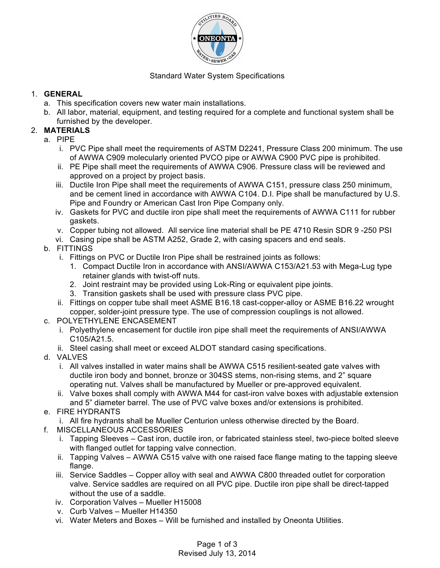

### Standard Water System Specifications

### 1. **GENERAL**

- a. This specification covers new water main installations.
- b. All labor, material, equipment, and testing required for a complete and functional system shall be furnished by the developer.

## 2. **MATERIALS**

- a. PIPE
	- i. PVC Pipe shall meet the requirements of ASTM D2241, Pressure Class 200 minimum. The use of AWWA C909 molecularly oriented PVCO pipe or AWWA C900 PVC pipe is prohibited.
	- ii. PE Pipe shall meet the requirements of AWWA C906. Pressure class will be reviewed and approved on a project by project basis.
	- iii. Ductile Iron Pipe shall meet the requirements of AWWA C151, pressure class 250 minimum, and be cement lined in accordance with AWWA C104. D.I. Pipe shall be manufactured by U.S. Pipe and Foundry or American Cast Iron Pipe Company only.
	- iv. Gaskets for PVC and ductile iron pipe shall meet the requirements of AWWA C111 for rubber gaskets.
	- v. Copper tubing not allowed. All service line material shall be PE 4710 Resin SDR 9 -250 PSI
	- vi. Casing pipe shall be ASTM A252, Grade 2, with casing spacers and end seals.
- b. FITTINGS
	- i. Fittings on PVC or Ductile Iron Pipe shall be restrained joints as follows:
		- 1. Compact Ductile Iron in accordance with ANSI/AWWA C153/A21.53 with Mega-Lug type retainer glands with twist-off nuts.
		- 2. Joint restraint may be provided using Lok-Ring or equivalent pipe joints.
		- 3. Transition gaskets shall be used with pressure class PVC pipe.
	- ii. Fittings on copper tube shall meet ASME B16.18 cast-copper-alloy or ASME B16.22 wrought copper, solder-joint pressure type. The use of compression couplings is not allowed.
- c. POLYETHYLENE ENCASEMENT
	- i. Polyethylene encasement for ductile iron pipe shall meet the requirements of ANSI/AWWA C105/A21.5.
	- ii. Steel casing shall meet or exceed ALDOT standard casing specifications.
- d. VALVES
	- i. All valves installed in water mains shall be AWWA C515 resilient-seated gate valves with ductile iron body and bonnet, bronze or 304SS stems, non-rising stems, and 2" square operating nut. Valves shall be manufactured by Mueller or pre-approved equivalent.
	- ii. Valve boxes shall comply with AWWA M44 for cast-iron valve boxes with adjustable extension and 5" diameter barrel. The use of PVC valve boxes and/or extensions is prohibited.
- e. FIRE HYDRANTS
	- i. All fire hydrants shall be Mueller Centurion unless otherwise directed by the Board.
- f. MISCELLANEOUS ACCESSORIES
	- i. Tapping Sleeves Cast iron, ductile iron, or fabricated stainless steel, two-piece bolted sleeve with flanged outlet for tapping valve connection.
	- ii. Tapping Valves AWWA C515 valve with one raised face flange mating to the tapping sleeve flange.
	- iii. Service Saddles Copper alloy with seal and AWWA C800 threaded outlet for corporation valve. Service saddles are required on all PVC pipe. Ductile iron pipe shall be direct-tapped without the use of a saddle.
	- iv. Corporation Valves Mueller H15008
	- v. Curb Valves Mueller H14350
	- vi. Water Meters and Boxes Will be furnished and installed by Oneonta Utilities.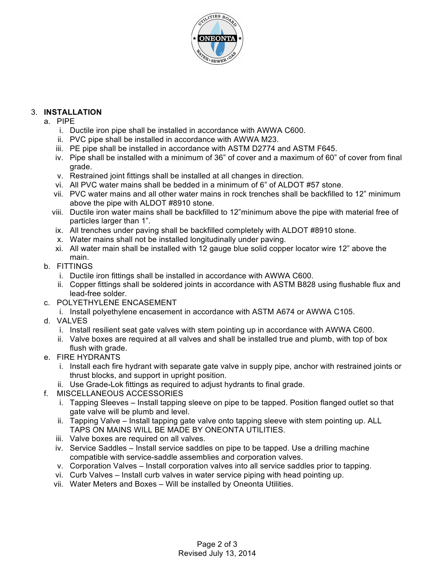

# 3. **INSTALLATION**

- a. PIPE
	- i. Ductile iron pipe shall be installed in accordance with AWWA C600.
	- ii. PVC pipe shall be installed in accordance with AWWA M23.
	- iii. PE pipe shall be installed in accordance with ASTM D2774 and ASTM F645.
	- iv. Pipe shall be installed with a minimum of 36" of cover and a maximum of 60" of cover from final grade.
	- v. Restrained joint fittings shall be installed at all changes in direction.
	- vi. All PVC water mains shall be bedded in a minimum of 6" of ALDOT #57 stone.
	- vii. PVC water mains and all other water mains in rock trenches shall be backfilled to 12" minimum above the pipe with ALDOT #8910 stone.
	- viii. Ductile iron water mains shall be backfilled to 12"minimum above the pipe with material free of particles larger than 1".
	- ix. All trenches under paving shall be backfilled completely with ALDOT #8910 stone.
	- x. Water mains shall not be installed longitudinally under paving.
	- xi. All water main shall be installed with 12 gauge blue solid copper locator wire 12" above the main.
- b. FITTINGS
	- i. Ductile iron fittings shall be installed in accordance with AWWA C600.
	- ii. Copper fittings shall be soldered joints in accordance with ASTM B828 using flushable flux and lead-free solder.
- c. POLYETHYLENE ENCASEMENT
	- i. Install polyethylene encasement in accordance with ASTM A674 or AWWA C105.
- d. VALVES
	- i. Install resilient seat gate valves with stem pointing up in accordance with AWWA C600.
	- ii. Valve boxes are required at all valves and shall be installed true and plumb, with top of box flush with grade.
- e. FIRE HYDRANTS
	- i. Install each fire hydrant with separate gate valve in supply pipe, anchor with restrained joints or thrust blocks, and support in upright position.
	- ii. Use Grade-Lok fittings as required to adjust hydrants to final grade.
- f. MISCELLANEOUS ACCESSORIES
	- i. Tapping Sleeves Install tapping sleeve on pipe to be tapped. Position flanged outlet so that gate valve will be plumb and level.
	- ii. Tapping Valve Install tapping gate valve onto tapping sleeve with stem pointing up. ALL TAPS ON MAINS WILL BE MADE BY ONEONTA UTILITIES.
	- iii. Valve boxes are required on all valves.
	- iv. Service Saddles Install service saddles on pipe to be tapped. Use a drilling machine compatible with service-saddle assemblies and corporation valves.
	- v. Corporation Valves Install corporation valves into all service saddles prior to tapping.
	- vi. Curb Valves Install curb valves in water service piping with head pointing up.
	- vii. Water Meters and Boxes Will be installed by Oneonta Utilities.